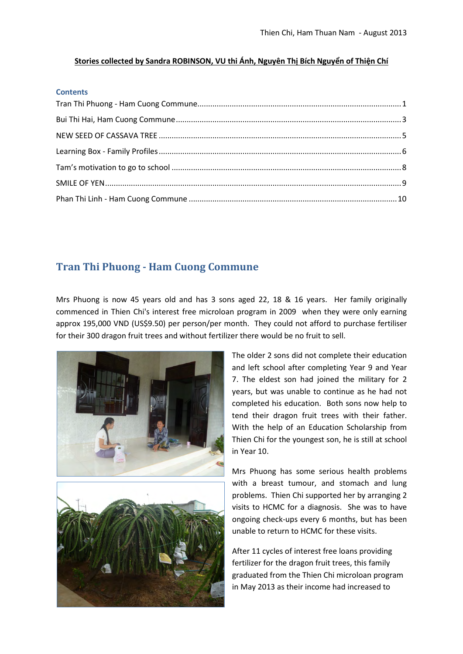#### **Stories collected by Sandra ROBINSON, VU thi Ánh, Nguyên Thị Bích Nguyển of Thiện Chí**

#### **Contents**

# <span id="page-0-0"></span>**Tran Thi Phuong - Ham Cuong Commune**

Mrs Phuong is now 45 years old and has 3 sons aged 22, 18 & 16 years. Her family originally commenced in Thien Chi's interest free microloan program in 2009 when they were only earning approx 195,000 VND (US\$9.50) per person/per month. They could not afford to purchase fertiliser for their 300 dragon fruit trees and without fertilizer there would be no fruit to sell.



The older 2 sons did not complete their education and left school after completing Year 9 and Year 7. The eldest son had joined the military for 2 years, but was unable to continue as he had not completed his education. Both sons now help to tend their dragon fruit trees with their father. With the help of an Education Scholarship from Thien Chi for the youngest son, he is still at school in Year 10.

Mrs Phuong has some serious health problems with a breast tumour, and stomach and lung problems. Thien Chi supported her by arranging 2 visits to HCMC for a diagnosis. She was to have ongoing check-ups every 6 months, but has been unable to return to HCMC for these visits.

After 11 cycles of interest free loans providing fertilizer for the dragon fruit trees, this family graduated from the Thien Chi microloan program in May 2013 as their income had increased to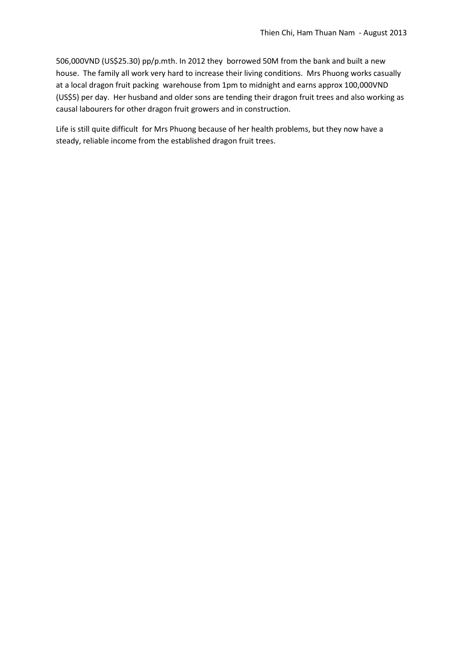506,000VND (US\$25.30) pp/p.mth. In 2012 they borrowed 50M from the bank and built a new house. The family all work very hard to increase their living conditions. Mrs Phuong works casually at a local dragon fruit packing warehouse from 1pm to midnight and earns approx 100,000VND (US\$5) per day. Her husband and older sons are tending their dragon fruit trees and also working as causal labourers for other dragon fruit growers and in construction.

Life is still quite difficult for Mrs Phuong because of her health problems, but they now have a steady, reliable income from the established dragon fruit trees.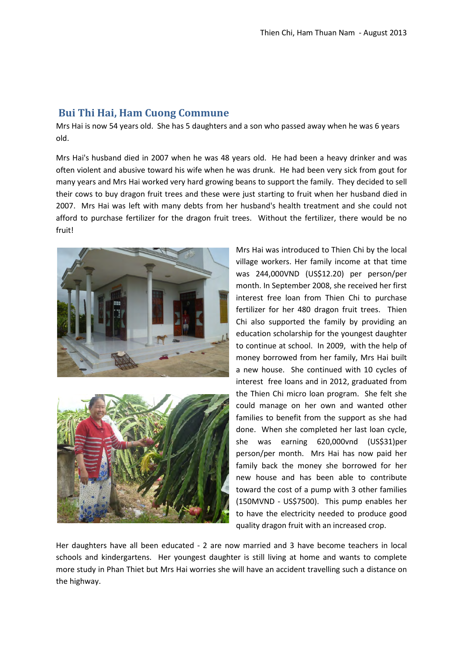## <span id="page-2-0"></span>**Bui Thi Hai, Ham Cuong Commune**

Mrs Hai is now 54 years old. She has 5 daughters and a son who passed away when he was 6 years old.

Mrs Hai's husband died in 2007 when he was 48 years old. He had been a heavy drinker and was often violent and abusive toward his wife when he was drunk. He had been very sick from gout for many years and Mrs Hai worked very hard growing beans to support the family. They decided to sell their cows to buy dragon fruit trees and these were just starting to fruit when her husband died in 2007. Mrs Hai was left with many debts from her husband's health treatment and she could not afford to purchase fertilizer for the dragon fruit trees. Without the fertilizer, there would be no fruit!





Mrs Hai was introduced to Thien Chi by the local village workers. Her family income at that time was 244,000VND (US\$12.20) per person/per month. In September 2008, she received her first interest free loan from Thien Chi to purchase fertilizer for her 480 dragon fruit trees. Thien Chi also supported the family by providing an education scholarship for the youngest daughter to continue at school. In 2009, with the help of money borrowed from her family, Mrs Hai built a new house. She continued with 10 cycles of interest free loans and in 2012, graduated from the Thien Chi micro loan program. She felt she could manage on her own and wanted other families to benefit from the support as she had done. When she completed her last loan cycle, she was earning 620,000vnd (US\$31)per person/per month. Mrs Hai has now paid her family back the money she borrowed for her new house and has been able to contribute toward the cost of a pump with 3 other families (150MVND - US\$7500). This pump enables her to have the electricity needed to produce good quality dragon fruit with an increased crop.

Her daughters have all been educated - 2 are now married and 3 have become teachers in local schools and kindergartens. Her youngest daughter is still living at home and wants to complete more study in Phan Thiet but Mrs Hai worries she will have an accident travelling such a distance on the highway.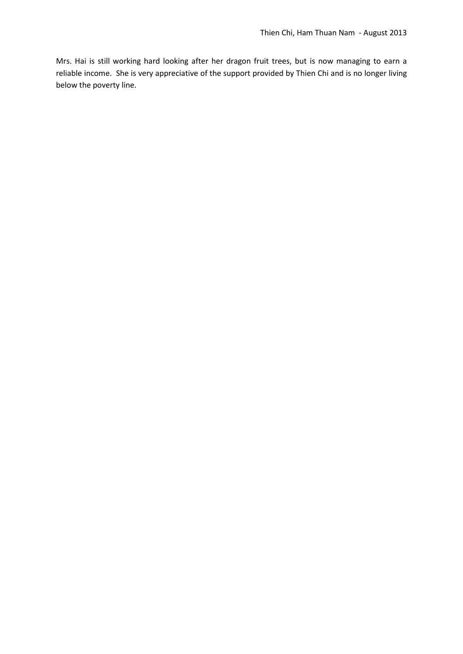Mrs. Hai is still working hard looking after her dragon fruit trees, but is now managing to earn a reliable income. She is very appreciative of the support provided by Thien Chi and is no longer living below the poverty line.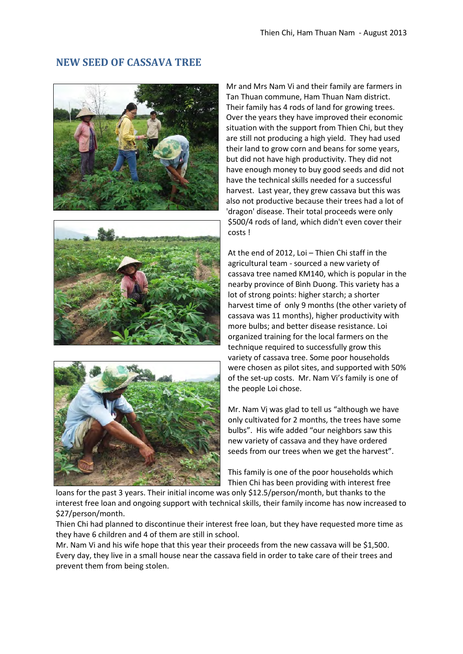#### <span id="page-4-0"></span>**NEW SEED OF CASSAVA TREE**







Mr and Mrs Nam Vi and their family are farmers in Tan Thuan commune, Ham Thuan Nam district. Their family has 4 rods of land for growing trees. Over the years they have improved their economic situation with the support from Thien Chi, but they are still not producing a high yield. They had used their land to grow corn and beans for some years, but did not have high productivity. They did not have enough money to buy good seeds and did not have the technical skills needed for a successful harvest. Last year, they grew cassava but this was also not productive because their trees had a lot of 'dragon' disease. Their total proceeds were only \$500/4 rods of land, which didn't even cover their costs !

At the end of 2012, Loi – Thien Chi staff in the agricultural team - sourced a new variety of cassava tree named KM140, which is popular in the nearby province of Bình Duong. This variety has a lot of strong points: higher starch; a shorter harvest time of only 9 months (the other variety of cassava was 11 months), higher productivity with more bulbs; and better disease resistance. Loi organized training for the local farmers on the technique required to successfully grow this variety of cassava tree. Some poor households were chosen as pilot sites, and supported with 50% of the set-up costs. Mr. Nam Vi's family is one of the people Loi chose.

Mr. Nam Vị was glad to tell us "although we have only cultivated for 2 months, the trees have some bulbs". His wife added "our neighbors saw this new variety of cassava and they have ordered seeds from our trees when we get the harvest".

This family is one of the poor households which Thien Chi has been providing with interest free

loans for the past 3 years. Their initial income was only \$12.5/person/month, but thanks to the interest free loan and ongoing support with technical skills, their family income has now increased to \$27/person/month.

Thien Chi had planned to discontinue their interest free loan, but they have requested more time as they have 6 children and 4 of them are still in school.

Mr. Nam Vi and his wife hope that this year their proceeds from the new cassava will be \$1,500. Every day, they live in a small house near the cassava field in order to take care of their trees and prevent them from being stolen.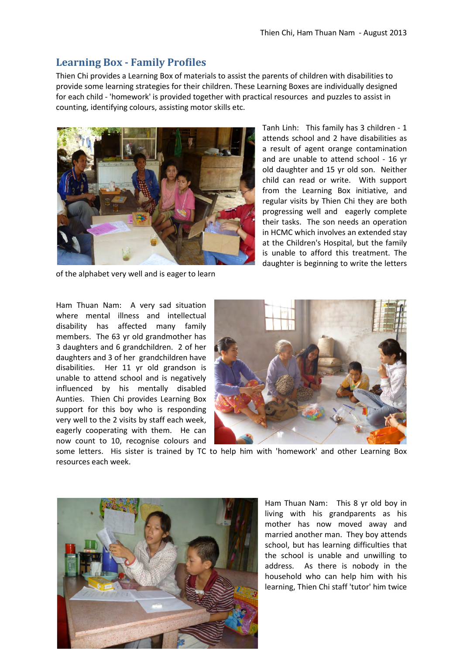# <span id="page-5-0"></span>**Learning Box - Family Profiles**

Thien Chi provides a Learning Box of materials to assist the parents of children with disabilities to provide some learning strategies for their children. These Learning Boxes are individually designed for each child - 'homework' is provided together with practical resources and puzzles to assist in counting, identifying colours, assisting motor skills etc.



of the alphabet very well and is eager to learn

Tanh Linh: This family has 3 children - 1 attends school and 2 have disabilities as a result of agent orange contamination and are unable to attend school - 16 yr old daughter and 15 yr old son. Neither child can read or write. With support from the Learning Box initiative, and regular visits by Thien Chi they are both progressing well and eagerly complete their tasks. The son needs an operation in HCMC which involves an extended stay at the Children's Hospital, but the family is unable to afford this treatment. The daughter is beginning to write the letters

Ham Thuan Nam: A very sad situation where mental illness and intellectual disability has affected many family members. The 63 yr old grandmother has 3 daughters and 6 grandchildren. 2 of her daughters and 3 of her grandchildren have disabilities. Her 11 yr old grandson is unable to attend school and is negatively influenced by his mentally disabled Aunties. Thien Chi provides Learning Box support for this boy who is responding very well to the 2 visits by staff each week, eagerly cooperating with them. He can now count to 10, recognise colours and



some letters. His sister is trained by TC to help him with 'homework' and other Learning Box resources each week.



Ham Thuan Nam: This 8 yr old boy in living with his grandparents as his mother has now moved away and married another man. They boy attends school, but has learning difficulties that the school is unable and unwilling to address. As there is nobody in the household who can help him with his learning, Thien Chi staff 'tutor' him twice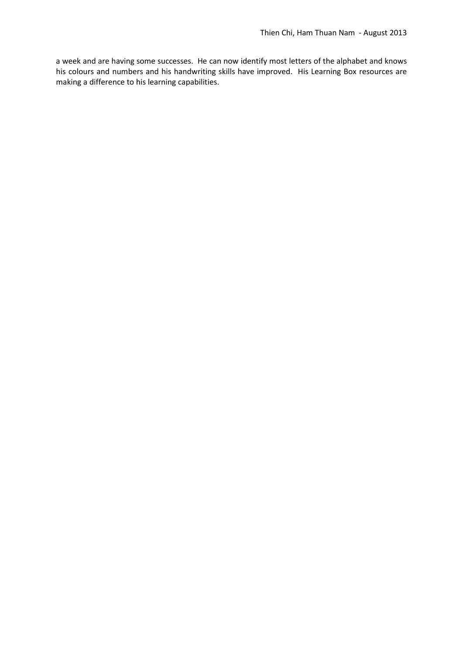a week and are having some successes. He can now identify most letters of the alphabet and knows his colours and numbers and his handwriting skills have improved. His Learning Box resources are making a difference to his learning capabilities.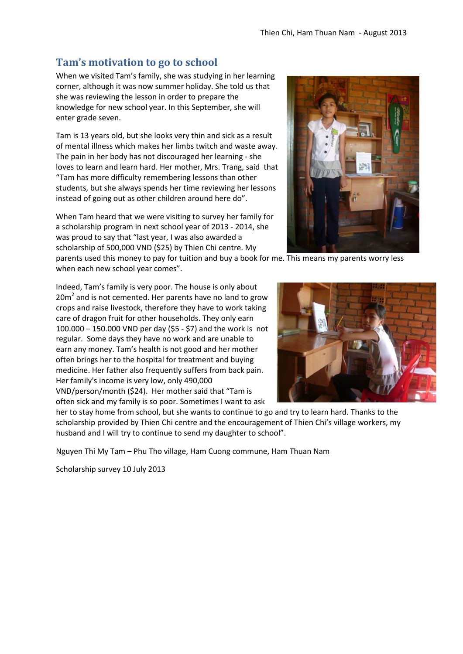## <span id="page-7-0"></span>**Tam's motivation to go to school**

When we visited Tam's family, she was studying in her learning corner, although it was now summer holiday. She told us that she was reviewing the lesson in order to prepare the knowledge for new school year. In this September, she will enter grade seven.

Tam is 13 years old, but she looks very thin and sick as a result of mental illness which makes her limbs twitch and waste away. The pain in her body has not discouraged her learning - she loves to learn and learn hard. Her mother, Mrs. Trang, said that "Tam has more difficulty remembering lessons than other students, but she always spends her time reviewing her lessons instead of going out as other children around here do".

When Tam heard that we were visiting to survey her family for a scholarship program in next school year of 2013 - 2014, she was proud to say that "last year, I was also awarded a scholarship of 500,000 VND (\$25) by Thien Chi centre. My



parents used this money to pay for tuition and buy a book for me. This means my parents worry less when each new school year comes".

Indeed, Tam's family is very poor. The house is only about  $20m<sup>2</sup>$  and is not cemented. Her parents have no land to grow crops and raise livestock, therefore they have to work taking care of dragon fruit for other households. They only earn 100.000 – 150.000 VND per day (\$5 - \$7) and the work is not regular. Some days they have no work and are unable to earn any money. Tam's health is not good and her mother often brings her to the hospital for treatment and buying medicine. Her father also frequently suffers from back pain. Her family's income is very low, only 490,000 VND/person/month (\$24). Her mother said that "Tam is often sick and my family is so poor. Sometimes I want to ask



her to stay home from school, but she wants to continue to go and try to learn hard. Thanks to the scholarship provided by Thien Chi centre and the encouragement of Thien Chi's village workers, my husband and I will try to continue to send my daughter to school".

Nguyen Thi My Tam – Phu Tho village, Ham Cuong commune, Ham Thuan Nam

Scholarship survey 10 July 2013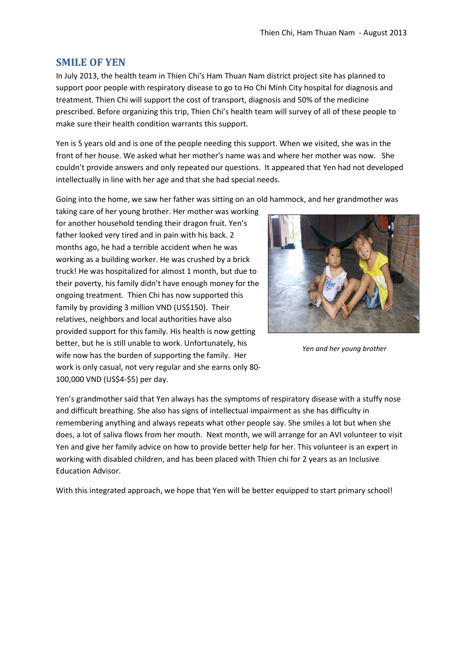#### <span id="page-8-0"></span>**SMILE OF YEN**

In July 2013, the health team in Thien Chi's Ham Thuan Nam district project site has planned to support poor people with respiratory disease to go to Ho Chi Minh City hospital for diagnosis and treatment. Thien Chi will support the cost of transport, diagnosis and 50% of the medicine prescribed. Before organizing this trip, Thien Chi's health team will survey of all of these people to make sure their health condition warrants this support.

Yen is 5 years old and is one of the people needing this support. When we visited, she was in the front of her house. We asked what her mother's name was and where her mother was now. She couldn't provide answers and only repeated our questions. It appeared that Yen had not developed intellectually in line with her age and that she had special needs.

Going into the home, we saw her father was sitting on an old hammock, and her grandmother was

taking care of her young brother. Her mother was working for another household tending their dragon fruit. Yen's father looked very tired and in pain with his back. 2 months ago, he had a terrible accident when he was working as a building worker. He was crushed by a brick truck! He was hospitalized for almost 1 month, but due to their poverty, his family didn't have enough money for the ongoing treatment. Thien Chi has now supported this family by providing 3 million VND (US\$150). Their relatives, neighbors and local authorities have also provided support for this family. His health is now getting better, but he is still unable to work. Unfortunately, his wife now has the burden of supporting the family. Her work is only casual, not very regular and she earns only 80- 100,000 VND (US\$4-\$5) per day.



*Yen and her young brother*

Yen's grandmother said that Yen always has the symptoms of respiratory disease with a stuffy nose and difficult breathing. She also has signs of intellectual impairment as she has difficulty in remembering anything and always repeats what other people say. She smiles a lot but when she does, a lot of saliva flows from her mouth. Next month, we will arrange for an AVI volunteer to visit Yen and give her family advice on how to provide better help for her. This volunteer is an expert in working with disabled children, and has been placed with Thien chi for 2 years as an Inclusive Education Advisor.

With this integrated approach, we hope that Yen will be better equipped to start primary school!